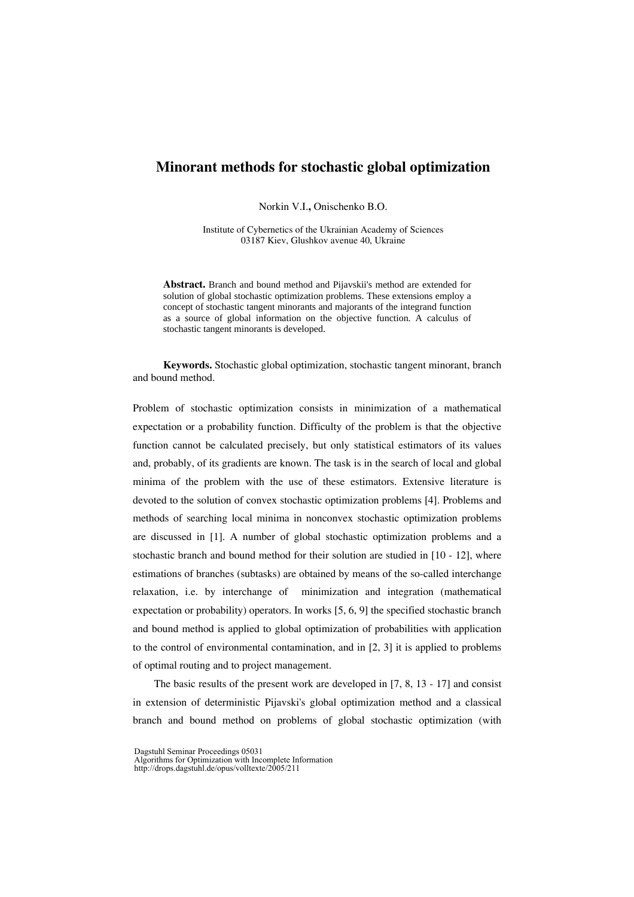# **Minorant methods for stochastic global optimization**

Norkin V.I.**,** Onischenko B.O.

Institute of Cybernetics of the Ukrainian Academy of Sciences 03187 Kiev, Glushkov avenue 40, Ukraine

**Abstract.** Branch and bound method and Pijavskii's method are extended for solution of global stochastic optimization problems. These extensions employ a concept of stochastic tangent minorants and majorants of the integrand function as a source of global information on the objective function. A calculus of stochastic tangent minorants is developed.

**Keywords.** Stochastic global optimization, stochastic tangent minorant, branch and bound method.

Problem of stochastic optimization consists in minimization of a mathematical expectation or a probability function. Difficulty of the problem is that the objective function cannot be calculated precisely, but only statistical estimators of its values and, probably, of its gradients are known. The task is in the search of local and global minima of the problem with the use of these estimators. Extensive literature is devoted to the solution of convex stochastic optimization problems [4]. Problems and methods of searching local minima in nonconvex stochastic optimization problems are discussed in [1]. A number of global stochastic optimization problems and a stochastic branch and bound method for their solution are studied in [10 - 12], where estimations of branches (subtasks) are obtained by means of the so-called interchange relaxation, i.e. by interchange of minimization and integration (mathematical expectation or probability) operators. In works [5, 6, 9] the specified stochastic branch and bound method is applied to global optimization of probabilities with application to the control of environmental contamination, and in [2, 3] it is applied to problems of optimal routing and to project management.

The basic results of the present work are developed in [7, 8, 13 - 17] and consist in extension of deterministic Pijavski's global optimization method and a classical branch and bound method on problems of global stochastic optimization (with

Dagstuhl Seminar Proceedings 05031

Algorithms for Optimization with Incomplete Information http://drops.dagstuhl.de/opus/volltexte/2005/211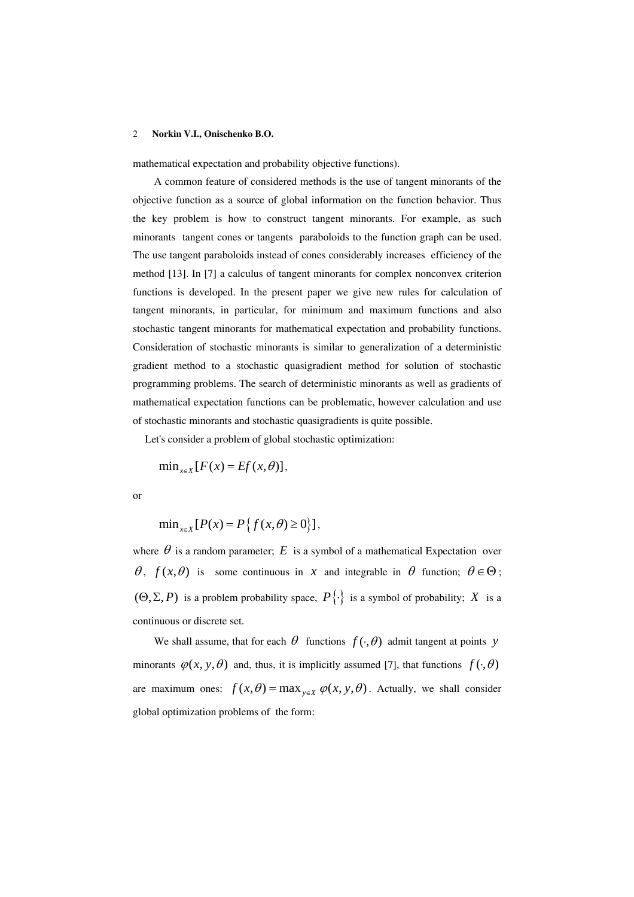mathematical expectation and probability objective functions).

A common feature of considered methods is the use of tangent minorants of the objective function as a source of global information on the function behavior. Thus the key problem is how to construct tangent minorants. For example, as such minorants tangent cones or tangents paraboloids to the function graph can be used. The use tangent paraboloids instead of cones considerably increases efficiency of the method [13]. In [7] a calculus of tangent minorants for complex nonconvex criterion functions is developed. In the present paper we give new rules for calculation of tangent minorants, in particular, for minimum and maximum functions and also stochastic tangent minorants for mathematical expectation and probability functions. Consideration of stochastic minorants is similar to generalization of a deterministic gradient method to a stochastic quasigradient method for solution of stochastic programming problems. The search of deterministic minorants as well as gradients of mathematical expectation functions can be problematic, however calculation and use of stochastic minorants and stochastic quasigradients is quite possible.

Let's consider a problem of global stochastic optimization:

$$
\min_{x \in X} [F(x) = Ef(x, \theta)],
$$

or

$$
\min_{x \in X} [P(x) = P\{f(x, \theta) \ge 0\}],
$$

where  $\theta$  is a random parameter;  $E$  is a symbol of a mathematical Expectation over  $θ$ ,  $f(x, θ)$  is some continuous in *x* and integrable in  $θ$  function;  $θ ∈ Θ$ ;  $(\Theta, \Sigma, P)$  is a problem probability space,  $P\{\cdot\}$  is a symbol of probability; *X* is a continuous or discrete set.

We shall assume, that for each  $\theta$  functions  $f(\cdot, \theta)$  admit tangent at points *y* minorants  $\varphi(x, y, \theta)$  and, thus, it is implicitly assumed [7], that functions  $f(\cdot, \theta)$ are maximum ones:  $f(x, \theta) = \max_{y \in X} \varphi(x, y, \theta)$ . Actually, we shall consider global optimization problems of the form: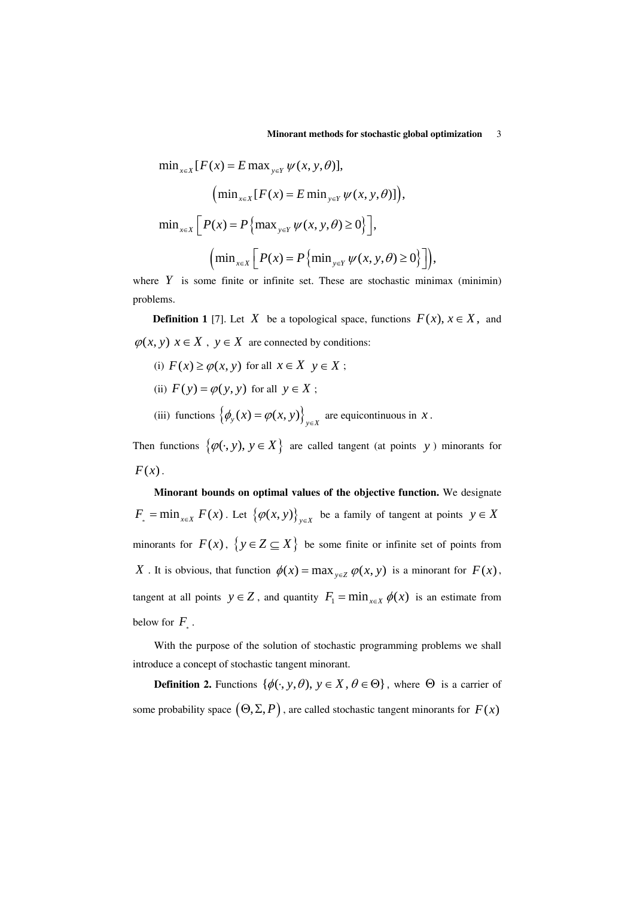$\min_{x \in X} [F(x) = E \max_{y \in Y} \psi(x, y, \theta)],$  $(\min_{x \in X} [F(x) = E \min_{y \in Y} \psi(x, y, \theta)]),$  $\min_{x \in X} \left[ P(x) = P\left\{ \max_{y \in Y} \psi(x, y, \theta) \ge 0 \right\} \right],$  $\left( \min_{x \in X} \left[ P(x) = P\left\{ \min_{y \in Y} \psi(x, y, \theta) \ge 0 \right\} \right] \right),$ 

where  $Y$  is some finite or infinite set. These are stochastic minimax (minimin) problems.

**Definition** 1 [7]. Let *X* be a topological space, functions  $F(x)$ ,  $x \in X$ , and  $\varphi(x, y)$   $x \in X$ ,  $y \in X$  are connected by conditions:

- (i)  $F(x) \ge \varphi(x, y)$  for all  $x \in X$   $y \in X$ ;
- (ii)  $F(y) = \varphi(y, y)$  for all  $y \in X$ ;
- (iii) functions  $\{\phi_y(x) = \phi(x, y)\}_{y \in X}$  are equicontinuous in *x*.

Then functions  $\{\varphi(\cdot, y), y \in X\}$  are called tangent (at points y) minorants for  $F(x)$ .

**Minorant bounds on optimal values of the objective function.** We designate  $F_* = \min_{x \in X} F(x)$ . Let  $\{\varphi(x, y)\}_{y \in X}$  be a family of tangent at points  $y \in X$ minorants for  $F(x)$ ,  $\{y \in Z \subseteq X\}$  be some finite or infinite set of points from *X* . It is obvious, that function  $\phi(x) = \max_{y \in Z} \phi(x, y)$  is a minorant for  $F(x)$ , tangent at all points  $y \in Z$ , and quantity  $F_1 = \min_{x \in X} \phi(x)$  is an estimate from below for  $F_{\Box}$ .

With the purpose of the solution of stochastic programming problems we shall introduce a concept of stochastic tangent minorant.

**Definition 2.** Functions  $\{\phi(\cdot, y, \theta), y \in X, \theta \in \Theta\}$ , where  $\Theta$  is a carrier of some probability space  $(\Theta, \Sigma, P)$ , are called stochastic tangent minorants for  $F(x)$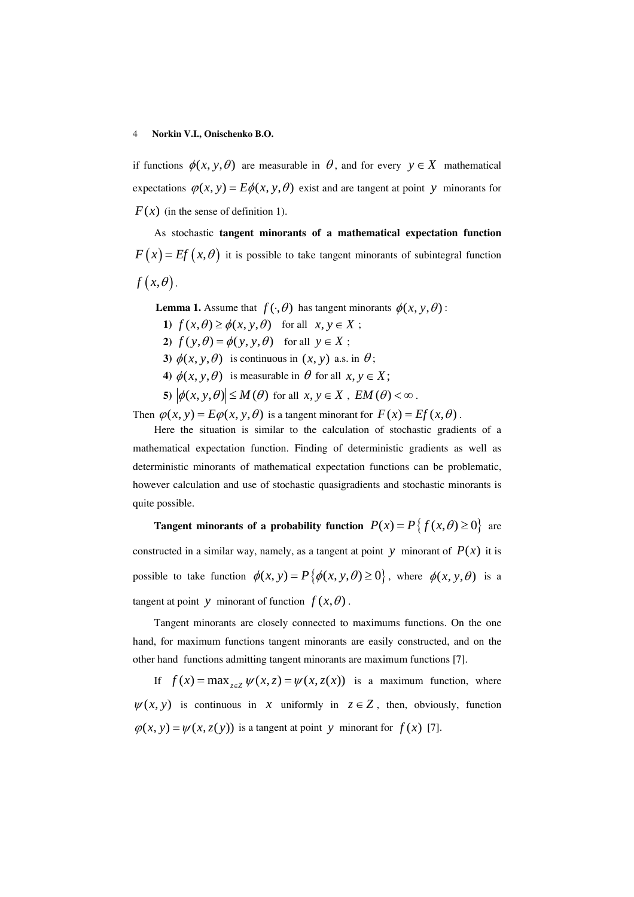if functions  $\phi(x, y, \theta)$  are measurable in  $\theta$ , and for every  $y \in X$  mathematical expectations  $\varphi(x, y) = E\phi(x, y, \theta)$  exist and are tangent at point y minorants for  $F(x)$  (in the sense of definition 1).

As stochastic **tangent minorants of a mathematical expectation function**  $F(x) = Ef(x, \theta)$  it is possible to take tangent minorants of subintegral function  $f(x, \theta)$ .

**Lemma 1.** Assume that  $f(\cdot, \theta)$  has tangent minorants  $\phi(x, y, \theta)$ :

**1)**  $f(x, \theta) \ge \phi(x, y, \theta)$  for all  $x, y \in X$ ;

**2**)  $f(y, \theta) = \phi(y, y, \theta)$  for all  $y \in X$ ;

**3**)  $\phi(x, y, \theta)$  is continuous in  $(x, y)$  a.s. in  $\theta$ ;

**4)**  $\phi(x, y, \theta)$  is measurable in  $\theta$  for all  $x, y \in X$ ;

**5)**  $|\phi(x, y, \theta)| \leq M(\theta)$  for all  $x, y \in X$ ,  $EM(\theta) < \infty$ .

Then  $\varphi(x, y) = E\varphi(x, y, \theta)$  is a tangent minorant for  $F(x) = Ef(x, \theta)$ .

Here the situation is similar to the calculation of stochastic gradients of a mathematical expectation function. Finding of deterministic gradients as well as deterministic minorants of mathematical expectation functions can be problematic, however calculation and use of stochastic quasigradients and stochastic minorants is quite possible.

**Tangent minorants of a probability function**  $P(x) = P\{f(x, \theta) \ge 0\}$  are constructed in a similar way, namely, as a tangent at point *y* minorant of  $P(x)$  it is possible to take function  $\phi(x, y) = P\{\phi(x, y, \theta) \ge 0\}$ , where  $\phi(x, y, \theta)$  is a tangent at point *y* minorant of function  $f(x, \theta)$ .

Tangent minorants are closely connected to maximums functions. On the one hand, for maximum functions tangent minorants are easily constructed, and on the other hand functions admitting tangent minorants are maximum functions [7].

If  $f(x) = \max_{z \in \mathbb{Z}} \psi(x, z) = \psi(x, z(x))$  is a maximum function, where  $\psi(x, y)$  is continuous in *x* uniformly in  $z \in Z$ , then, obviously, function  $\varphi(x, y) = \psi(x, z(y))$  is a tangent at point *y* minorant for  $f(x)$  [7].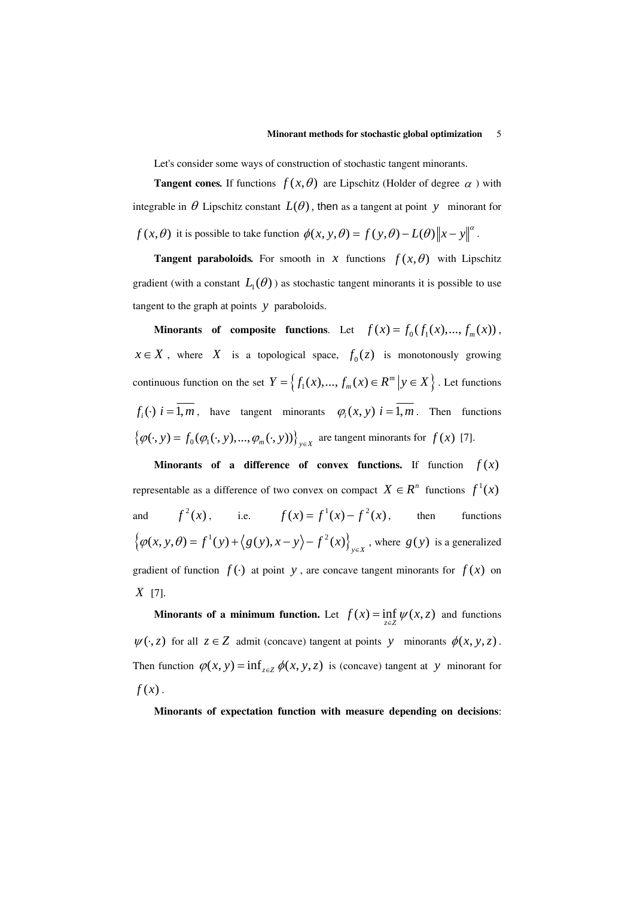Let's consider some ways of construction of stochastic tangent minorants.

**Tangent cones.** If functions  $f(x, \theta)$  are Lipschitz (Holder of degree  $\alpha$ ) with integrable in  $\theta$  Lipschitz constant  $L(\theta)$ , then as a tangent at point *y* minorant for  $f(x, \theta)$  it is possible to take function  $\phi(x, y, \theta) = f(y, \theta) - L(\theta) \|x - y\|^{\alpha}$ .

**Tangent paraboloids.** For smooth in *x* functions  $f(x, \theta)$  with Lipschitz gradient (with a constant  $L_1(\theta)$ ) as stochastic tangent minorants it is possible to use tangent to the graph at points *y* paraboloids.

**Minorants of composite functions.** Let  $f(x) = f_0(f_1(x),..., f_m(x))$ ,  $x \in X$ , where *X* is a topological space,  $f_0(z)$  is monotonously growing continuous function on the set  $Y = \{f_1(x),..., f_m(x) \in R^m \mid y \in X\}$ . Let functions  $f_i(\cdot)$   $i = \overline{1,m}$ , have tangent minorants  $\varphi_i(x, y)$   $i = \overline{1,m}$ . Then functions  $\{\varphi(\cdot, y) = f_0(\varphi_1(\cdot, y), ..., \varphi_m(\cdot, y))\}_{y \in X}$  are tangent minorants for  $f(x)$  [7].

**Minorants of a difference of convex functions.** If function  $f(x)$ representable as a difference of two convex on compact  $X \in \mathbb{R}^n$  functions  $f^1(x)$ and  $f^2(x)$ , i.e.  $f(x) = f^1(x) - f^2(x)$ , then functions  $\{\varphi(x, y, \theta) = f^1(y) + \langle g(y), x - y \rangle - f^2(x) \}_{x \in X}$ , where  $g(y)$  is a generalized gradient of function  $f(.)$  at point *y*, are concave tangent minorants for  $f(x)$  on *X* [7].

**Minorants of a minimum function.** Let  $f(x) = \inf_{z \in Z} \psi(x, z)$  and functions  $\psi(\cdot, z)$  for all  $z \in Z$  admit (concave) tangent at points *y* minorants  $\phi(x, y, z)$ . Then function  $\varphi$ (*x*, *y*) = inf<sub> $z \in \mathbb{Z}$   $\phi$ (*x*, *y*, *z*) is (concave) tangent at *y* minorant for</sub>  $f(x)$ .

**Minorants of expectation function with measure depending on decisions**: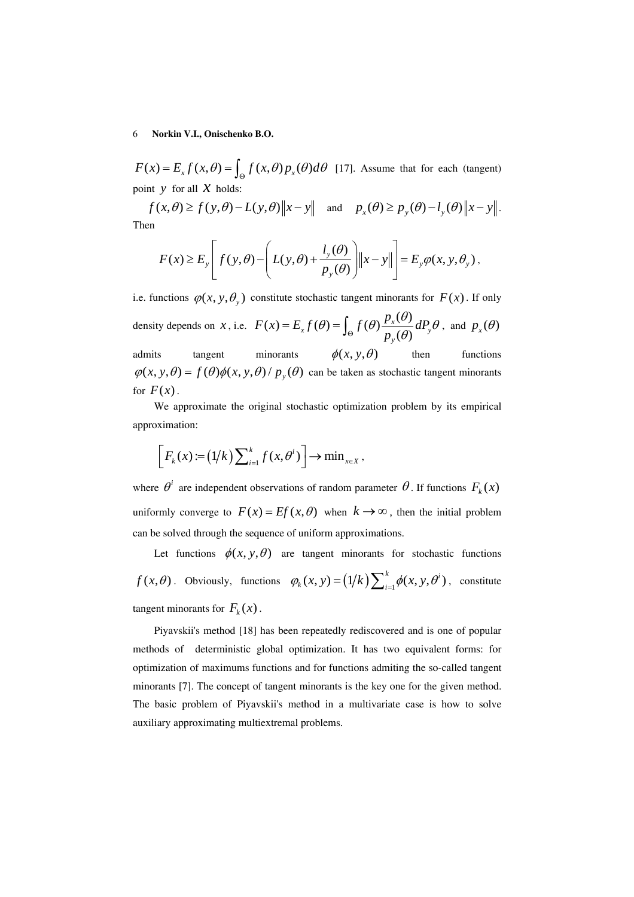$F(x) = E_x f(x, \theta) = \int_{\Theta} f(x, \theta) p_x(\theta) d\theta$  [17]. Assume that for each (tangent) point  $y$  for all  $x$  holds:

 $f(x, \theta) \ge f(y, \theta) - L(y, \theta) \|x - y\|$  and  $p_x(\theta) \ge p_y(\theta) - l_y(\theta) \|x - y\|$ . Then

$$
F(x) \ge E_y \left[ f(y, \theta) - \left( L(y, \theta) + \frac{l_y(\theta)}{p_y(\theta)} \right) \|x - y\| \right] = E_y \varphi(x, y, \theta_y),
$$

i.e. functions  $\varphi(x, y, \theta_y)$  constitute stochastic tangent minorants for  $F(x)$ . If only density depends on *x*, i.e.  $F(x) = E_x f(\theta) = \int_{\Theta} f(\theta) \frac{p_x(\theta)}{p_y(\theta)} dP_y$ *y*  $F(x) = E_x f(\theta) = \int f(\theta) \frac{p_x(\theta)}{p_x(\theta)} dP_x$ *p*  $E_x f(\theta) = \int_{\Theta} f(\theta) \frac{p_x(\theta)}{p(\theta)} dP_y \theta$ , and  $p_x(\theta)$ admits tangent minorants  $\phi(x, y, \theta)$  then functions  $\varphi(x, y, \theta) = f(\theta)\varphi(x, y, \theta) / p_y(\theta)$  can be taken as stochastic tangent minorants for  $F(x)$ .

We approximate the original stochastic optimization problem by its empirical approximation:

$$
\[F_k(x) := (1/k)\sum_{i=1}^k f(x,\theta^i)\] \to \min_{x \in X},
$$

where  $\theta^i$  are independent observations of random parameter  $\theta$ . If functions  $F_k(x)$ uniformly converge to  $F(x) = Ef(x, \theta)$  when  $k \to \infty$ , then the initial problem can be solved through the sequence of uniform approximations.

Let functions  $\phi(x, y, \theta)$  are tangent minorants for stochastic functions *f*  $(x, \theta)$ . Obviously, functions  $\varphi_k(x, y) = (1/k) \sum_{i=1}^k \phi(x, y, \theta^i)$ , constitute tangent minorants for  $F_k(x)$ .

Piyavskii's method [18] has been repeatedly rediscovered and is one of popular methods of deterministic global optimization. It has two equivalent forms: for optimization of maximums functions and for functions admiting the so-called tangent minorants [7]. The concept of tangent minorants is the key one for the given method. The basic problem of Piyavskii's method in a multivariate case is how to solve auxiliary approximating multiextremal problems.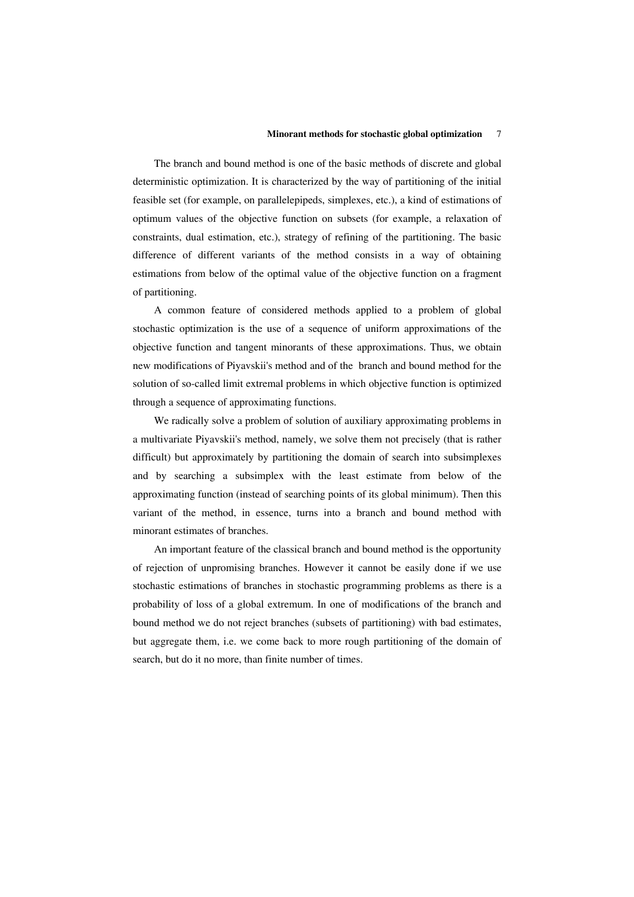### **Minorant methods for stochastic global optimization** 7

The branch and bound method is one of the basic methods of discrete and global deterministic optimization. It is characterized by the way of partitioning of the initial feasible set (for example, on parallelepipeds, simplexes, etc.), a kind of estimations of optimum values of the objective function on subsets (for example, a relaxation of constraints, dual estimation, etc.), strategy of refining of the partitioning. The basic difference of different variants of the method consists in a way of obtaining estimations from below of the optimal value of the objective function on a fragment of partitioning.

A common feature of considered methods applied to a problem of global stochastic optimization is the use of a sequence of uniform approximations of the objective function and tangent minorants of these approximations. Thus, we obtain new modifications of Piyavskii's method and of the branch and bound method for the solution of so-called limit extremal problems in which objective function is optimized through a sequence of approximating functions.

We radically solve a problem of solution of auxiliary approximating problems in a multivariate Piyavskii's method, namely, we solve them not precisely (that is rather difficult) but approximately by partitioning the domain of search into subsimplexes and by searching a subsimplex with the least estimate from below of the approximating function (instead of searching points of its global minimum). Then this variant of the method, in essence, turns into a branch and bound method with minorant estimates of branches.

An important feature of the classical branch and bound method is the opportunity of rejection of unpromising branches. However it cannot be easily done if we use stochastic estimations of branches in stochastic programming problems as there is a probability of loss of a global extremum. In one of modifications of the branch and bound method we do not reject branches (subsets of partitioning) with bad estimates, but aggregate them, i.e. we come back to more rough partitioning of the domain of search, but do it no more, than finite number of times.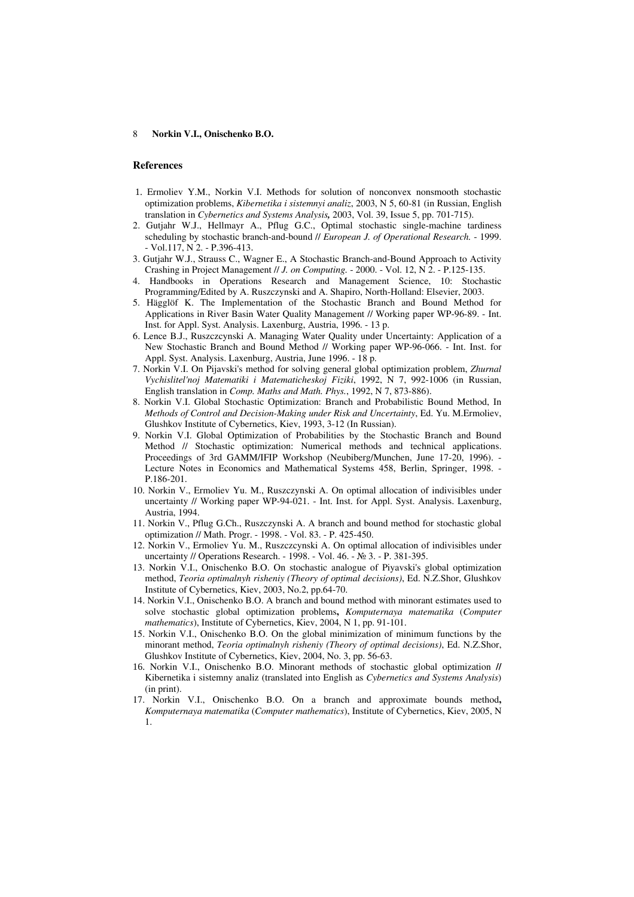#### **References**

- 1. Ermoliev Y.M., Norkin V.I. Methods for solution of nonconvex nonsmooth stochastic optimization problems, *Kibernetika i sistemnyi analiz*, 2003, N 5, 60-81 (in Russian, English translation in *Cybernetics and Systems Analysis,* 2003, Vol. 39, Issue 5, pp. 701-715).
- 2. Gutjahr W.J., Hellmayr A., Pflug G.C., Optimal stochastic single-machine tardiness scheduling by stochastic branch-and-bound // *European J. of Operational Research.* - 1999. - Vol.117, N 2. - P.396-413.
- 3. Gutjahr W.J., Strauss C., Wagner E., A Stochastic Branch-and-Bound Approach to Activity Crashing in Project Management // *J. on Computing.* - 2000. - Vol. 12, N 2. - P.125-135.
- 4. Handbooks in Operations Research and Management Science, 10: Stochastic Programming/Edited by A. Ruszczynski and A. Shapiro, North-Holland: Elsevier, 2003.
- 5. Hägglöf K. The Implementation of the Stochastic Branch and Bound Method for Applications in River Basin Water Quality Management // Working paper WP-96-89. - Int. Inst. for Appl. Syst. Analysis. Laxenburg, Austria, 1996. - 13 p.
- 6. Lence B.J., Ruszczcynski A. Managing Water Quality under Uncertainty: Application of a New Stochastic Branch and Bound Method // Working paper WP-96-066. - Int. Inst. for Appl. Syst. Analysis. Laxenburg, Austria, June 1996. - 18 p.
- 7. Norkin V.I. On Pijavski's method for solving general global optimization problem, *Zhurnal Vychislitel'noj Matematiki i Matematicheskoj Fiziki*, 1992, N 7, 992-1006 (in Russian, English translation in *Comp. Maths and Math. Phys.*, 1992, N 7, 873-886).
- 8. Norkin V.I. Global Stochastic Optimization: Branch and Probabilistic Bound Method, In *Methods of Control and Decision-Making under Risk and Uncertainty*, Ed. Yu. M.Ermoliev, Glushkov Institute of Cybernetics, Kiev, 1993, 3-12 (In Russian).
- 9. Norkin V.I. Global Optimization of Probabilities by the Stochastic Branch and Bound Method // Stochastic optimization: Numerical methods and technical applications. Proceedings of 3rd GAMM/IFIP Workshop (Neubiberg/Munchen, June 17-20, 1996). - Lecture Notes in Economics and Mathematical Systems 458, Berlin, Springer, 1998. - P.186-201.
- 10. Norkin V., Ermoliev Yu. M., Ruszczynski A. On optimal allocation of indivisibles under uncertainty // Working paper WP-94-021. - Int. Inst. for Appl. Syst. Analysis. Laxenburg, Austria, 1994.
- 11. Norkin V., Pflug G.Ch., Ruszczynski A. A branch and bound method for stochastic global optimization // Math. Progr. - 1998. - Vol. 83. - P. 425-450.
- 12. Norkin V., Ermoliev Yu. M., Ruszczcynski A. On optimal allocation of indivisibles under uncertainty // Operations Research. - 1998. - Vol. 46. - № 3. - P. 381-395.
- 13. Norkin V.I., Onischenko B.O. On stochastic analogue of Piyavski's global optimization method, *Teoria optimalnyh risheniy (Theory of optimal decisions)*, Ed. N.Z.Shor, Glushkov Institute of Cybernetics, Kiev, 2003, No.2, pp.64-70.
- 14. Norkin V.I., Onischenko B.O. A branch and bound method with minorant estimates used to solve stochastic global optimization problems**,** *Komputernaya matematika* (*Computer mathematics*), Institute of Cybernetics, Kiev, 2004, N 1, pp. 91-101.
- 15. Norkin V.I., Onischenko B.O. On the global minimization of minimum functions by the minorant method, *Teoria optimalnyh risheniy (Theory of optimal decisions)*, Ed. N.Z.Shor, Glushkov Institute of Cybernetics, Kiev, 2004, No. 3, pp. 56-63.
- 16. Norkin V.I., Onischenko B.O. Minorant methods of stochastic global optimization **//** Kibernetika i sistemny analiz (translated into English as *Cybernetics and Systems Analysis*) (in print).
- 17. Norkin V.I., Onischenko B.O. On a branch and approximate bounds method**,** *Komputernaya matematika* (*Computer mathematics*), Institute of Cybernetics, Kiev, 2005, N 1.